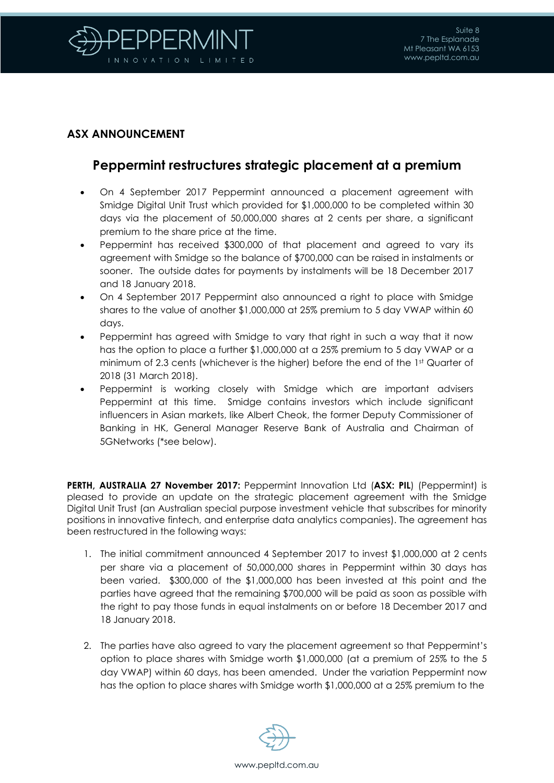

## **ASX ANNOUNCEMENT**

## **Peppermint restructures strategic placement at a premium**

- On 4 September 2017 Peppermint announced a placement agreement with Smidge Digital Unit Trust which provided for \$1,000,000 to be completed within 30 days via the placement of 50,000,000 shares at 2 cents per share, a significant premium to the share price at the time.
- Peppermint has received \$300,000 of that placement and agreed to vary its agreement with Smidge so the balance of \$700,000 can be raised in instalments or sooner. The outside dates for payments by instalments will be 18 December 2017 and 18 January 2018.
- On 4 September 2017 Peppermint also announced a right to place with Smidge shares to the value of another \$1,000,000 at 25% premium to 5 day VWAP within 60 days.
- Peppermint has agreed with Smidge to vary that right in such a way that it now has the option to place a further \$1,000,000 at a 25% premium to 5 day VWAP or a minimum of 2.3 cents (whichever is the higher) before the end of the 1st Quarter of 2018 (31 March 2018).
- Peppermint is working closely with Smidge which are important advisers Peppermint at this time. Smidge contains investors which include significant influencers in Asian markets, like Albert Cheok, the former Deputy Commissioner of Banking in HK, General Manager Reserve Bank of Australia and Chairman of 5GNetworks (\*see below).

**PERTH, AUSTRALIA 27 November 2017:** Peppermint Innovation Ltd (**ASX: PIL**) (Peppermint) is pleased to provide an update on the strategic placement agreement with the Smidge Digital Unit Trust (an Australian special purpose investment vehicle that subscribes for minority positions in innovative fintech, and enterprise data analytics companies). The agreement has been restructured in the following ways:

- 1. The initial commitment announced 4 September 2017 to invest \$1,000,000 at 2 cents per share via a placement of 50,000,000 shares in Peppermint within 30 days has been varied. \$300,000 of the \$1,000,000 has been invested at this point and the parties have agreed that the remaining \$700,000 will be paid as soon as possible with the right to pay those funds in equal instalments on or before 18 December 2017 and 18 January 2018.
- 2. The parties have also agreed to vary the placement agreement so that Peppermint's option to place shares with Smidge worth \$1,000,000 (at a premium of 25% to the 5 day VWAP) within 60 days, has been amended. Under the variation Peppermint now has the option to place shares with Smidge worth \$1,000,000 at a 25% premium to the